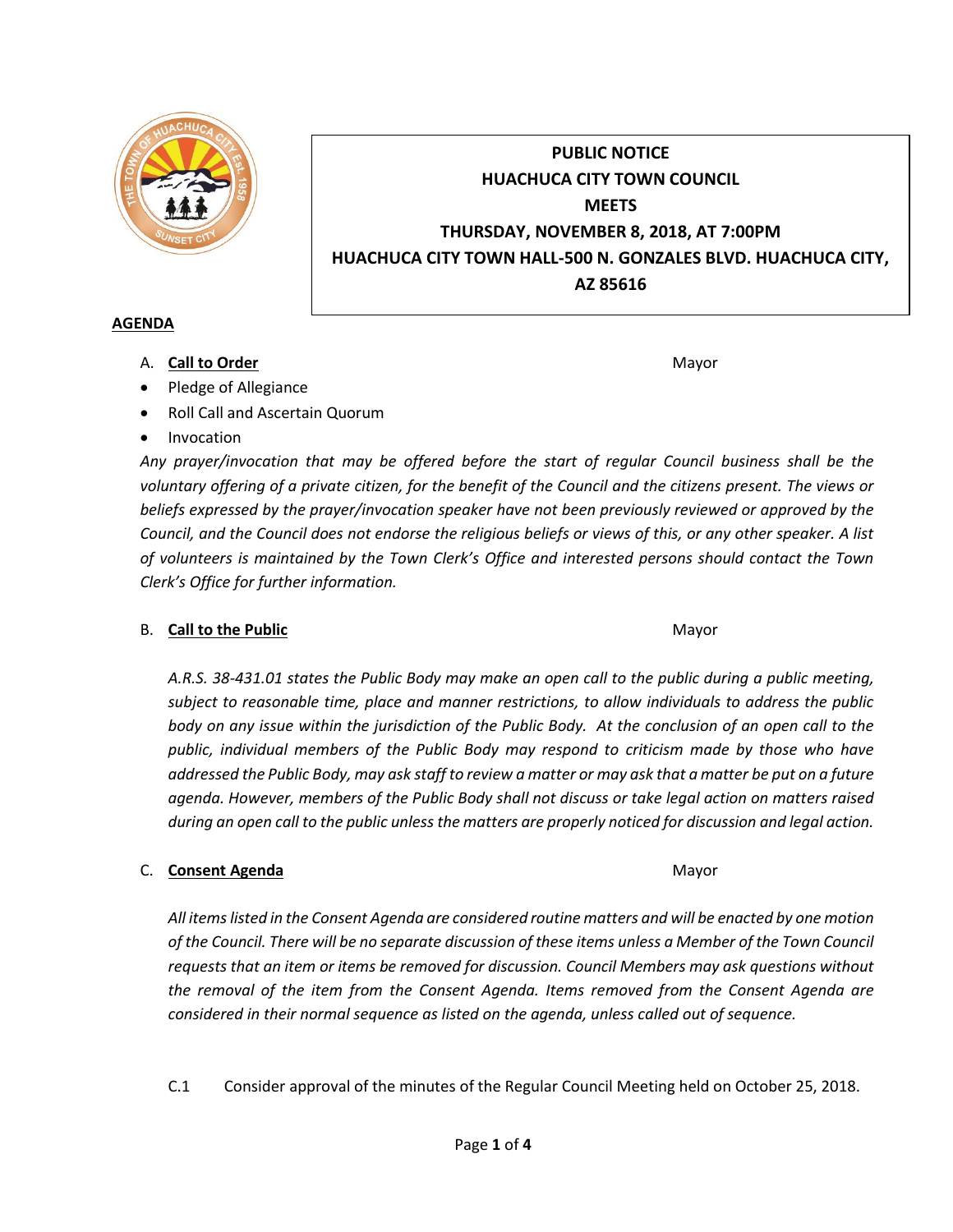

# **PUBLIC NOTICE HUACHUCA CITY TOWN COUNCIL MEETS THURSDAY, NOVEMBER 8, 2018, AT 7:00PM HUACHUCA CITY TOWN HALL-500 N. GONZALES BLVD. HUACHUCA CITY, AZ 85616**

#### **AGENDA**

A. **Call to Order** Mayor **Mayor** Mayor **Mayor** Mayor **Mayor** 

- Pledge of Allegiance
- Roll Call and Ascertain Quorum
- Invocation

*Any prayer/invocation that may be offered before the start of regular Council business shall be the voluntary offering of a private citizen, for the benefit of the Council and the citizens present. The views or beliefs expressed by the prayer/invocation speaker have not been previously reviewed or approved by the Council, and the Council does not endorse the religious beliefs or views of this, or any other speaker. A list of volunteers is maintained by the Town Clerk's Office and interested persons should contact the Town Clerk's Office for further information.*

# B. **Call to the Public** Mayor **Mayor** Mayor **Mayor** Mayor

*A.R.S. 38-431.01 states the Public Body may make an open call to the public during a public meeting, subject to reasonable time, place and manner restrictions, to allow individuals to address the public body on any issue within the jurisdiction of the Public Body. At the conclusion of an open call to the public, individual members of the Public Body may respond to criticism made by those who have addressed the Public Body, may ask staff to review a matter or may ask that a matter be put on a future agenda. However, members of the Public Body shall not discuss or take legal action on matters raised during an open call to the public unless the matters are properly noticed for discussion and legal action.*

# C. **Consent Agenda** Mayor **C. Consent Agenda** Mayor **Mayor**

*All items listed in the Consent Agenda are considered routine matters and will be enacted by one motion of the Council. There will be no separate discussion of these items unless a Member of the Town Council requests that an item or items be removed for discussion. Council Members may ask questions without the removal of the item from the Consent Agenda. Items removed from the Consent Agenda are considered in their normal sequence as listed on the agenda, unless called out of sequence.*

C.1 Consider approval of the minutes of the Regular Council Meeting held on October 25, 2018.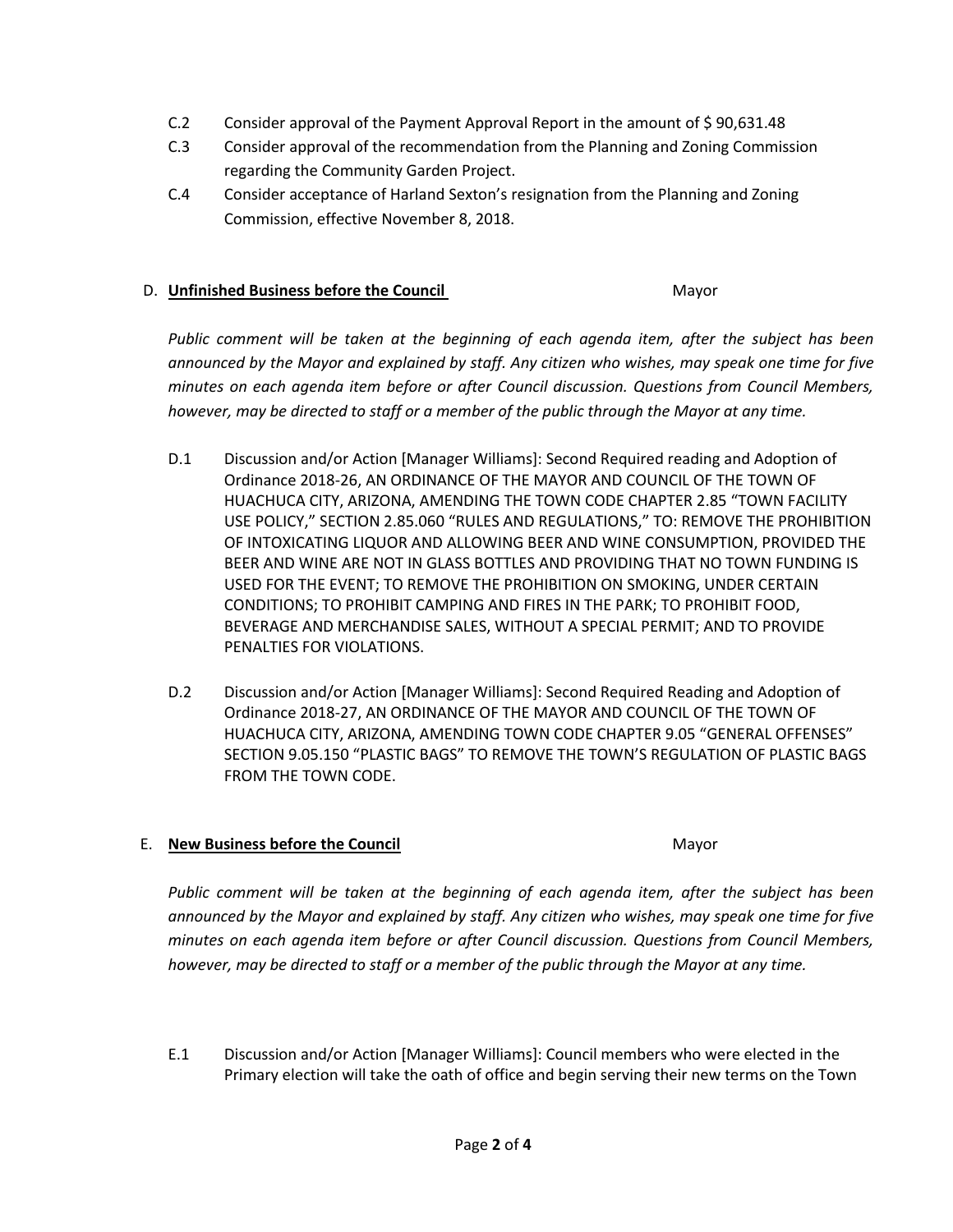- C.2 Consider approval of the Payment Approval Report in the amount of \$ 90,631.48
- C.3 Consider approval of the recommendation from the Planning and Zoning Commission regarding the Community Garden Project.
- C.4 Consider acceptance of Harland Sexton's resignation from the Planning and Zoning Commission, effective November 8, 2018.

#### D. **Unfinished Business before the Council** Mayor

*Public comment will be taken at the beginning of each agenda item, after the subject has been announced by the Mayor and explained by staff. Any citizen who wishes, may speak one time for five minutes on each agenda item before or after Council discussion. Questions from Council Members, however, may be directed to staff or a member of the public through the Mayor at any time.*

- D.1 Discussion and/or Action [Manager Williams]: Second Required reading and Adoption of Ordinance 2018-26, AN ORDINANCE OF THE MAYOR AND COUNCIL OF THE TOWN OF HUACHUCA CITY, ARIZONA, AMENDING THE TOWN CODE CHAPTER 2.85 "TOWN FACILITY USE POLICY," SECTION 2.85.060 "RULES AND REGULATIONS," TO: REMOVE THE PROHIBITION OF INTOXICATING LIQUOR AND ALLOWING BEER AND WINE CONSUMPTION, PROVIDED THE BEER AND WINE ARE NOT IN GLASS BOTTLES AND PROVIDING THAT NO TOWN FUNDING IS USED FOR THE EVENT; TO REMOVE THE PROHIBITION ON SMOKING, UNDER CERTAIN CONDITIONS; TO PROHIBIT CAMPING AND FIRES IN THE PARK; TO PROHIBIT FOOD, BEVERAGE AND MERCHANDISE SALES, WITHOUT A SPECIAL PERMIT; AND TO PROVIDE PENALTIES FOR VIOLATIONS.
- D.2 Discussion and/or Action [Manager Williams]: Second Required Reading and Adoption of Ordinance 2018-27, AN ORDINANCE OF THE MAYOR AND COUNCIL OF THE TOWN OF HUACHUCA CITY, ARIZONA, AMENDING TOWN CODE CHAPTER 9.05 "GENERAL OFFENSES" SECTION 9.05.150 "PLASTIC BAGS" TO REMOVE THE TOWN'S REGULATION OF PLASTIC BAGS FROM THE TOWN CODE.

# E. **New Business before the Council** Mayor

*Public comment will be taken at the beginning of each agenda item, after the subject has been announced by the Mayor and explained by staff. Any citizen who wishes, may speak one time for five minutes on each agenda item before or after Council discussion. Questions from Council Members, however, may be directed to staff or a member of the public through the Mayor at any time.*

E.1 Discussion and/or Action [Manager Williams]: Council members who were elected in the Primary election will take the oath of office and begin serving their new terms on the Town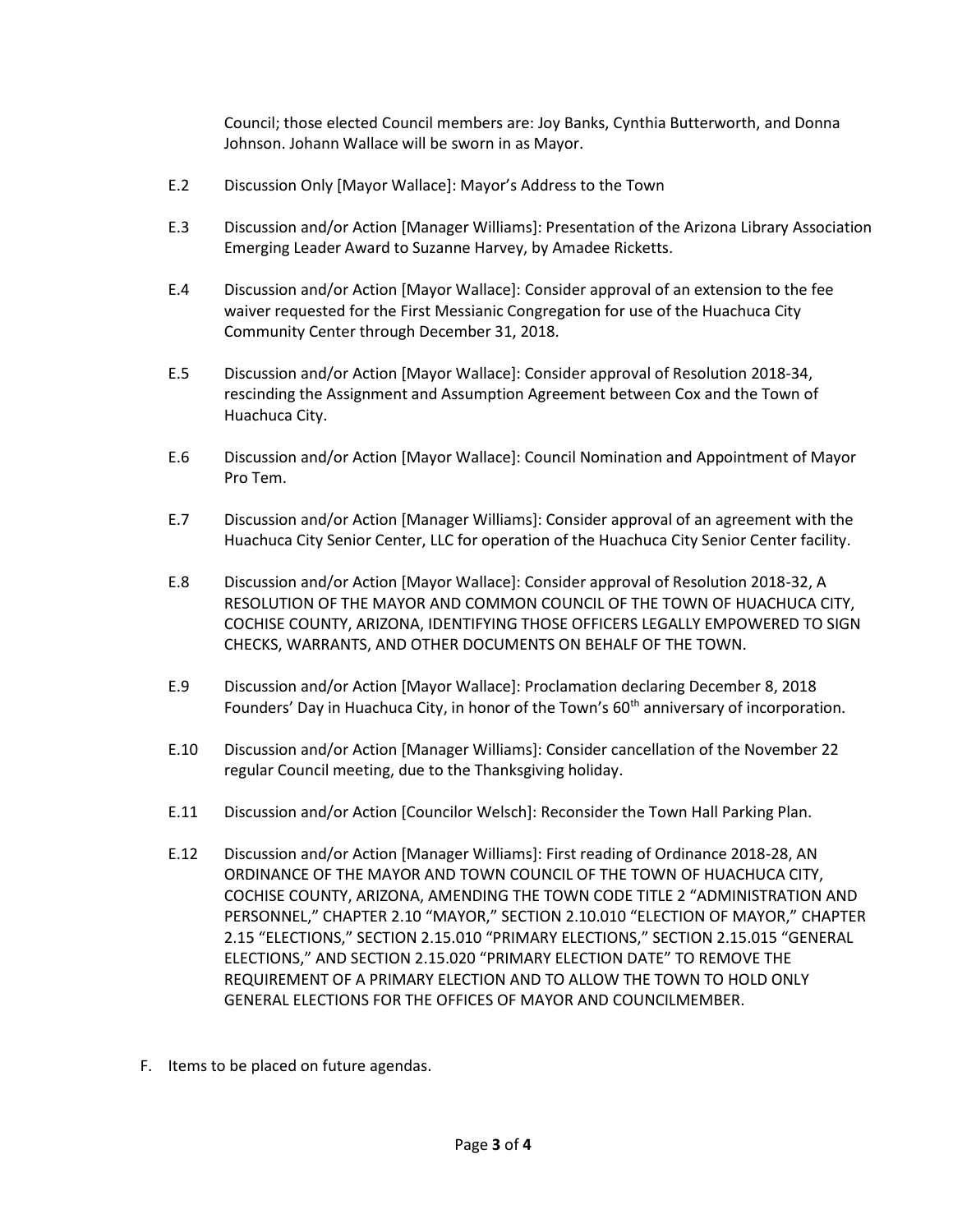Council; those elected Council members are: Joy Banks, Cynthia Butterworth, and Donna Johnson. Johann Wallace will be sworn in as Mayor.

- E.2 Discussion Only [Mayor Wallace]: Mayor's Address to the Town
- E.3 Discussion and/or Action [Manager Williams]: Presentation of the Arizona Library Association Emerging Leader Award to Suzanne Harvey, by Amadee Ricketts.
- E.4 Discussion and/or Action [Mayor Wallace]: Consider approval of an extension to the fee waiver requested for the First Messianic Congregation for use of the Huachuca City Community Center through December 31, 2018.
- E.5 Discussion and/or Action [Mayor Wallace]: Consider approval of Resolution 2018-34, rescinding the Assignment and Assumption Agreement between Cox and the Town of Huachuca City.
- E.6 Discussion and/or Action [Mayor Wallace]: Council Nomination and Appointment of Mayor Pro Tem.
- E.7 Discussion and/or Action [Manager Williams]: Consider approval of an agreement with the Huachuca City Senior Center, LLC for operation of the Huachuca City Senior Center facility.
- E.8 Discussion and/or Action [Mayor Wallace]: Consider approval of Resolution 2018-32, A RESOLUTION OF THE MAYOR AND COMMON COUNCIL OF THE TOWN OF HUACHUCA CITY, COCHISE COUNTY, ARIZONA, IDENTIFYING THOSE OFFICERS LEGALLY EMPOWERED TO SIGN CHECKS, WARRANTS, AND OTHER DOCUMENTS ON BEHALF OF THE TOWN.
- E.9 Discussion and/or Action [Mayor Wallace]: Proclamation declaring December 8, 2018 Founders' Day in Huachuca City, in honor of the Town's  $60<sup>th</sup>$  anniversary of incorporation.
- E.10 Discussion and/or Action [Manager Williams]: Consider cancellation of the November 22 regular Council meeting, due to the Thanksgiving holiday.
- E.11 Discussion and/or Action [Councilor Welsch]: Reconsider the Town Hall Parking Plan.
- E.12 Discussion and/or Action [Manager Williams]: First reading of Ordinance 2018-28, AN ORDINANCE OF THE MAYOR AND TOWN COUNCIL OF THE TOWN OF HUACHUCA CITY, COCHISE COUNTY, ARIZONA, AMENDING THE TOWN CODE TITLE 2 "ADMINISTRATION AND PERSONNEL," CHAPTER 2.10 "MAYOR," SECTION 2.10.010 "ELECTION OF MAYOR," CHAPTER 2.15 "ELECTIONS," SECTION 2.15.010 "PRIMARY ELECTIONS," SECTION 2.15.015 "GENERAL ELECTIONS," AND SECTION 2.15.020 "PRIMARY ELECTION DATE" TO REMOVE THE REQUIREMENT OF A PRIMARY ELECTION AND TO ALLOW THE TOWN TO HOLD ONLY GENERAL ELECTIONS FOR THE OFFICES OF MAYOR AND COUNCILMEMBER.
- F. Items to be placed on future agendas.